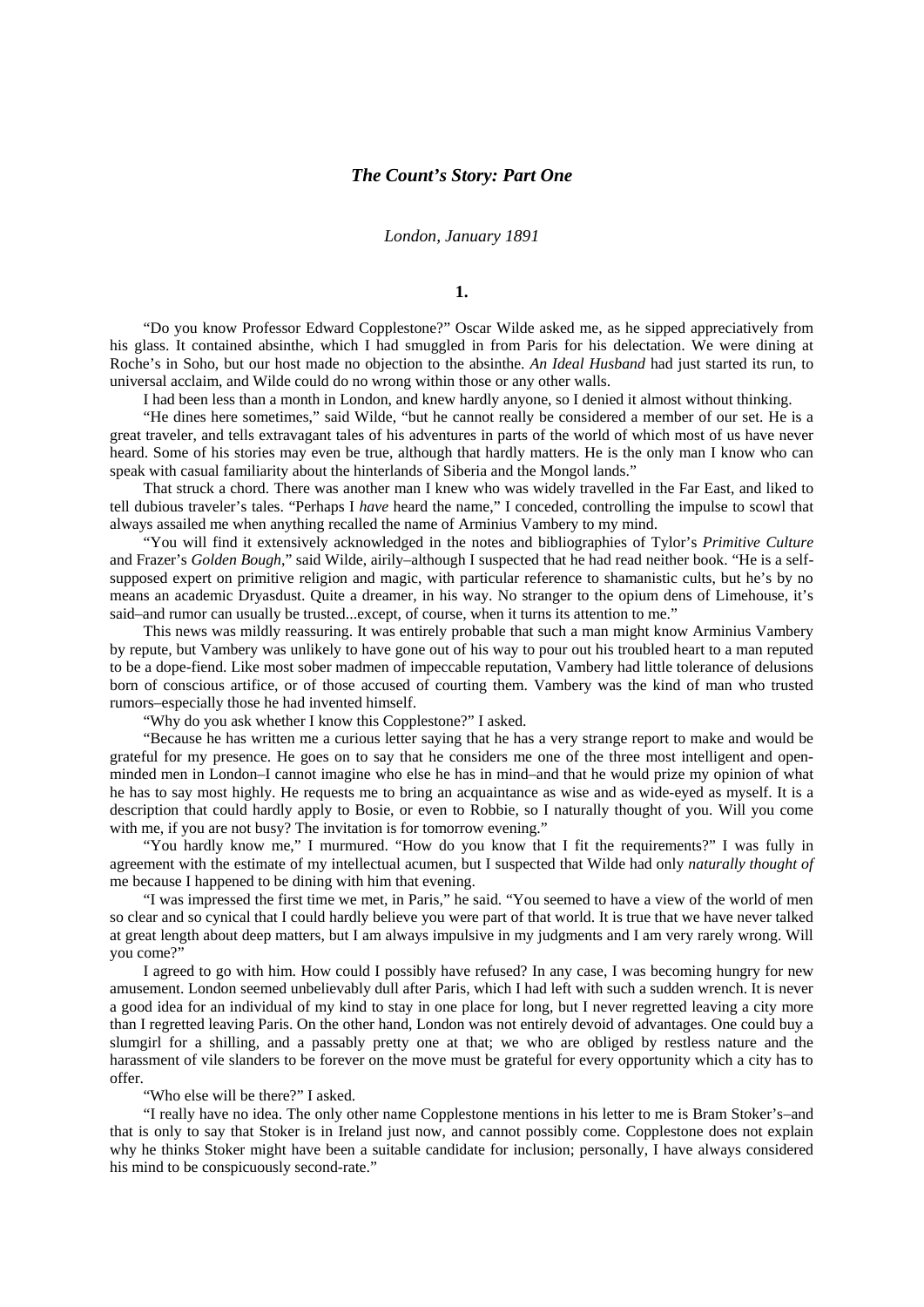## *The Count's Story: Part One*

*London, January 1891*

**1.**

"Do you know Professor Edward Copplestone?" Oscar Wilde asked me, as he sipped appreciatively from his glass. It contained absinthe, which I had smuggled in from Paris for his delectation. We were dining at Roche's in Soho, but our host made no objection to the absinthe. *An Ideal Husband* had just started its run, to universal acclaim, and Wilde could do no wrong within those or any other walls.

I had been less than a month in London, and knew hardly anyone, so I denied it almost without thinking.

"He dines here sometimes," said Wilde, "but he cannot really be considered a member of our set. He is a great traveler, and tells extravagant tales of his adventures in parts of the world of which most of us have never heard. Some of his stories may even be true, although that hardly matters. He is the only man I know who can speak with casual familiarity about the hinterlands of Siberia and the Mongol lands."

That struck a chord. There was another man I knew who was widely travelled in the Far East, and liked to tell dubious traveler's tales. "Perhaps I *have* heard the name," I conceded, controlling the impulse to scowl that always assailed me when anything recalled the name of Arminius Vambery to my mind.

"You will find it extensively acknowledged in the notes and bibliographies of Tylor's *Primitive Culture* and Frazer's *Golden Bough*," said Wilde, airily–although I suspected that he had read neither book. "He is a selfsupposed expert on primitive religion and magic, with particular reference to shamanistic cults, but he's by no means an academic Dryasdust. Quite a dreamer, in his way. No stranger to the opium dens of Limehouse, it's said–and rumor can usually be trusted...except, of course, when it turns its attention to me."

This news was mildly reassuring. It was entirely probable that such a man might know Arminius Vambery by repute, but Vambery was unlikely to have gone out of his way to pour out his troubled heart to a man reputed to be a dope-fiend. Like most sober madmen of impeccable reputation, Vambery had little tolerance of delusions born of conscious artifice, or of those accused of courting them. Vambery was the kind of man who trusted rumors–especially those he had invented himself.

"Why do you ask whether I know this Copplestone?" I asked.

"Because he has written me a curious letter saying that he has a very strange report to make and would be grateful for my presence. He goes on to say that he considers me one of the three most intelligent and openminded men in London–I cannot imagine who else he has in mind–and that he would prize my opinion of what he has to say most highly. He requests me to bring an acquaintance as wise and as wide-eyed as myself. It is a description that could hardly apply to Bosie, or even to Robbie, so I naturally thought of you. Will you come with me, if you are not busy? The invitation is for tomorrow evening."

"You hardly know me," I murmured. "How do you know that I fit the requirements?" I was fully in agreement with the estimate of my intellectual acumen, but I suspected that Wilde had only *naturally thought of* me because I happened to be dining with him that evening.

"I was impressed the first time we met, in Paris," he said. "You seemed to have a view of the world of men so clear and so cynical that I could hardly believe you were part of that world. It is true that we have never talked at great length about deep matters, but I am always impulsive in my judgments and I am very rarely wrong. Will you come?"

I agreed to go with him. How could I possibly have refused? In any case, I was becoming hungry for new amusement. London seemed unbelievably dull after Paris, which I had left with such a sudden wrench. It is never a good idea for an individual of my kind to stay in one place for long, but I never regretted leaving a city more than I regretted leaving Paris. On the other hand, London was not entirely devoid of advantages. One could buy a slumgirl for a shilling, and a passably pretty one at that; we who are obliged by restless nature and the harassment of vile slanders to be forever on the move must be grateful for every opportunity which a city has to offer.

"Who else will be there?" I asked.

"I really have no idea. The only other name Copplestone mentions in his letter to me is Bram Stoker's–and that is only to say that Stoker is in Ireland just now, and cannot possibly come. Copplestone does not explain why he thinks Stoker might have been a suitable candidate for inclusion; personally, I have always considered his mind to be conspicuously second-rate."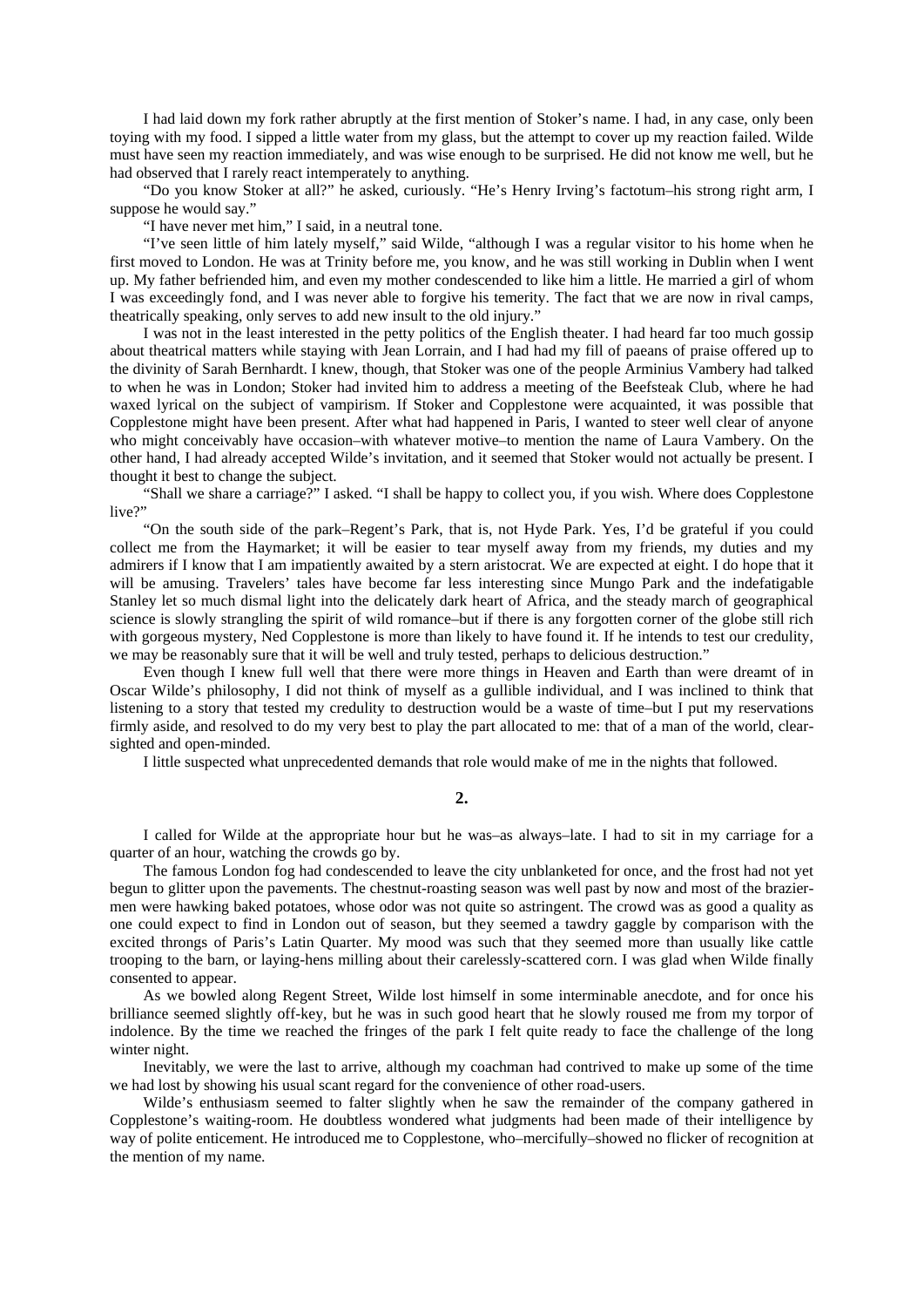I had laid down my fork rather abruptly at the first mention of Stoker's name. I had, in any case, only been toying with my food. I sipped a little water from my glass, but the attempt to cover up my reaction failed. Wilde must have seen my reaction immediately, and was wise enough to be surprised. He did not know me well, but he had observed that I rarely react intemperately to anything.

"Do you know Stoker at all?" he asked, curiously. "He's Henry Irving's factotum–his strong right arm, I suppose he would say."

"I have never met him," I said, in a neutral tone.

"I've seen little of him lately myself," said Wilde, "although I was a regular visitor to his home when he first moved to London. He was at Trinity before me, you know, and he was still working in Dublin when I went up. My father befriended him, and even my mother condescended to like him a little. He married a girl of whom I was exceedingly fond, and I was never able to forgive his temerity. The fact that we are now in rival camps, theatrically speaking, only serves to add new insult to the old injury."

I was not in the least interested in the petty politics of the English theater. I had heard far too much gossip about theatrical matters while staying with Jean Lorrain, and I had had my fill of paeans of praise offered up to the divinity of Sarah Bernhardt. I knew, though, that Stoker was one of the people Arminius Vambery had talked to when he was in London; Stoker had invited him to address a meeting of the Beefsteak Club, where he had waxed lyrical on the subject of vampirism. If Stoker and Copplestone were acquainted, it was possible that Copplestone might have been present. After what had happened in Paris, I wanted to steer well clear of anyone who might conceivably have occasion–with whatever motive–to mention the name of Laura Vambery. On the other hand, I had already accepted Wilde's invitation, and it seemed that Stoker would not actually be present. I thought it best to change the subject.

"Shall we share a carriage?" I asked. "I shall be happy to collect you, if you wish. Where does Copplestone live?"

"On the south side of the park–Regent's Park, that is, not Hyde Park. Yes, I'd be grateful if you could collect me from the Haymarket; it will be easier to tear myself away from my friends, my duties and my admirers if I know that I am impatiently awaited by a stern aristocrat. We are expected at eight. I do hope that it will be amusing. Travelers' tales have become far less interesting since Mungo Park and the indefatigable Stanley let so much dismal light into the delicately dark heart of Africa, and the steady march of geographical science is slowly strangling the spirit of wild romance–but if there is any forgotten corner of the globe still rich with gorgeous mystery, Ned Copplestone is more than likely to have found it. If he intends to test our credulity, we may be reasonably sure that it will be well and truly tested, perhaps to delicious destruction."

Even though I knew full well that there were more things in Heaven and Earth than were dreamt of in Oscar Wilde's philosophy, I did not think of myself as a gullible individual, and I was inclined to think that listening to a story that tested my credulity to destruction would be a waste of time–but I put my reservations firmly aside, and resolved to do my very best to play the part allocated to me: that of a man of the world, clearsighted and open-minded.

I little suspected what unprecedented demands that role would make of me in the nights that followed.

## **2.**

I called for Wilde at the appropriate hour but he was–as always–late. I had to sit in my carriage for a quarter of an hour, watching the crowds go by.

The famous London fog had condescended to leave the city unblanketed for once, and the frost had not yet begun to glitter upon the pavements. The chestnut-roasting season was well past by now and most of the braziermen were hawking baked potatoes, whose odor was not quite so astringent. The crowd was as good a quality as one could expect to find in London out of season, but they seemed a tawdry gaggle by comparison with the excited throngs of Paris's Latin Quarter. My mood was such that they seemed more than usually like cattle trooping to the barn, or laying-hens milling about their carelessly-scattered corn. I was glad when Wilde finally consented to appear.

As we bowled along Regent Street, Wilde lost himself in some interminable anecdote, and for once his brilliance seemed slightly off-key, but he was in such good heart that he slowly roused me from my torpor of indolence. By the time we reached the fringes of the park I felt quite ready to face the challenge of the long winter night.

Inevitably, we were the last to arrive, although my coachman had contrived to make up some of the time we had lost by showing his usual scant regard for the convenience of other road-users.

Wilde's enthusiasm seemed to falter slightly when he saw the remainder of the company gathered in Copplestone's waiting-room. He doubtless wondered what judgments had been made of their intelligence by way of polite enticement. He introduced me to Copplestone, who–mercifully–showed no flicker of recognition at the mention of my name.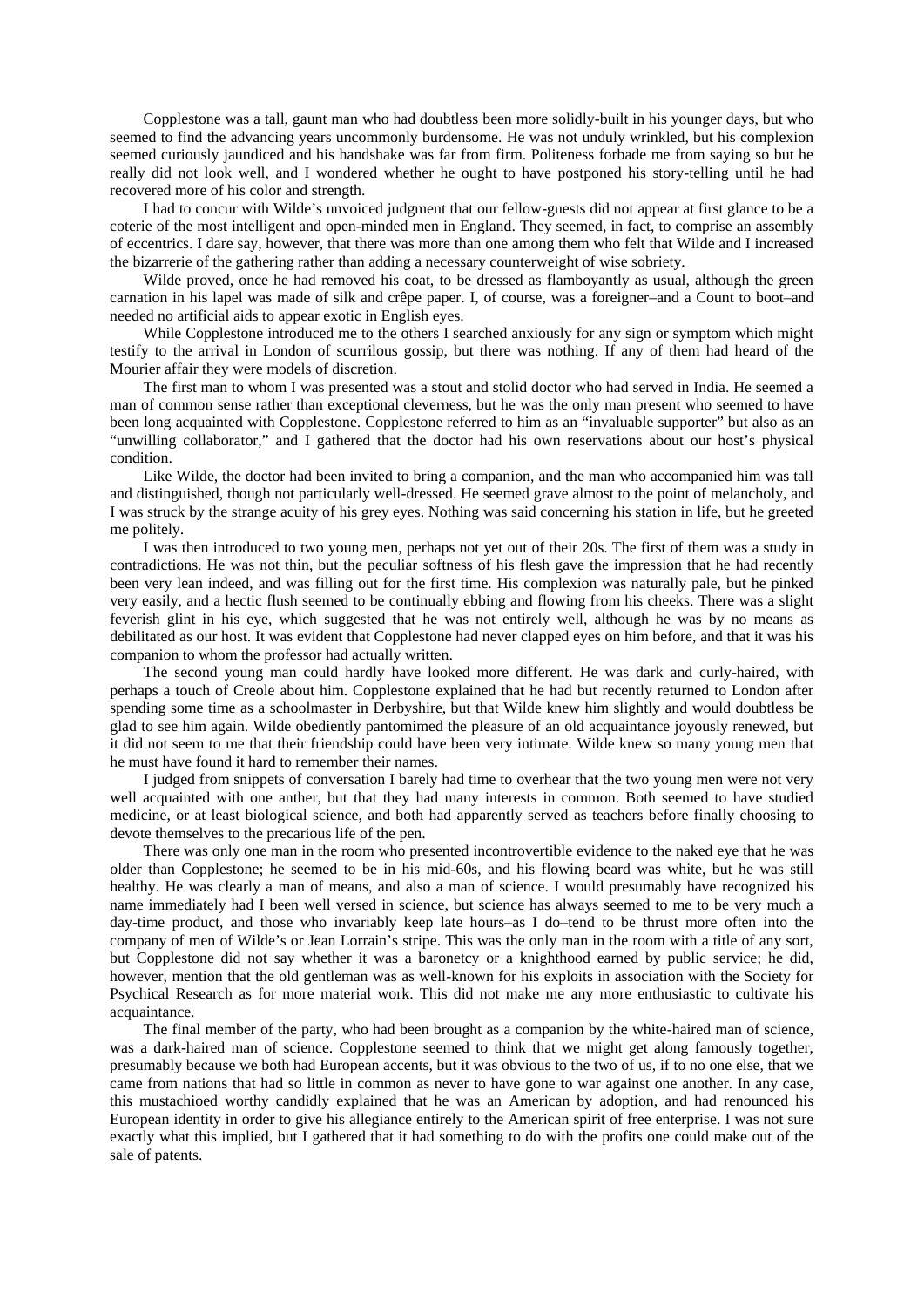Copplestone was a tall, gaunt man who had doubtless been more solidly-built in his younger days, but who seemed to find the advancing years uncommonly burdensome. He was not unduly wrinkled, but his complexion seemed curiously jaundiced and his handshake was far from firm. Politeness forbade me from saying so but he really did not look well, and I wondered whether he ought to have postponed his story-telling until he had recovered more of his color and strength.

I had to concur with Wilde's unvoiced judgment that our fellow-guests did not appear at first glance to be a coterie of the most intelligent and open-minded men in England. They seemed, in fact, to comprise an assembly of eccentrics. I dare say, however, that there was more than one among them who felt that Wilde and I increased the bizarrerie of the gathering rather than adding a necessary counterweight of wise sobriety.

Wilde proved, once he had removed his coat, to be dressed as flamboyantly as usual, although the green carnation in his lapel was made of silk and crêpe paper. I, of course, was a foreigner–and a Count to boot–and needed no artificial aids to appear exotic in English eyes.

While Copplestone introduced me to the others I searched anxiously for any sign or symptom which might testify to the arrival in London of scurrilous gossip, but there was nothing. If any of them had heard of the Mourier affair they were models of discretion.

The first man to whom I was presented was a stout and stolid doctor who had served in India. He seemed a man of common sense rather than exceptional cleverness, but he was the only man present who seemed to have been long acquainted with Copplestone. Copplestone referred to him as an "invaluable supporter" but also as an "unwilling collaborator," and I gathered that the doctor had his own reservations about our host's physical condition.

Like Wilde, the doctor had been invited to bring a companion, and the man who accompanied him was tall and distinguished, though not particularly well-dressed. He seemed grave almost to the point of melancholy, and I was struck by the strange acuity of his grey eyes. Nothing was said concerning his station in life, but he greeted me politely.

I was then introduced to two young men, perhaps not yet out of their 20s. The first of them was a study in contradictions. He was not thin, but the peculiar softness of his flesh gave the impression that he had recently been very lean indeed, and was filling out for the first time. His complexion was naturally pale, but he pinked very easily, and a hectic flush seemed to be continually ebbing and flowing from his cheeks. There was a slight feverish glint in his eye, which suggested that he was not entirely well, although he was by no means as debilitated as our host. It was evident that Copplestone had never clapped eyes on him before, and that it was his companion to whom the professor had actually written.

The second young man could hardly have looked more different. He was dark and curly-haired, with perhaps a touch of Creole about him. Copplestone explained that he had but recently returned to London after spending some time as a schoolmaster in Derbyshire, but that Wilde knew him slightly and would doubtless be glad to see him again. Wilde obediently pantomimed the pleasure of an old acquaintance joyously renewed, but it did not seem to me that their friendship could have been very intimate. Wilde knew so many young men that he must have found it hard to remember their names.

I judged from snippets of conversation I barely had time to overhear that the two young men were not very well acquainted with one anther, but that they had many interests in common. Both seemed to have studied medicine, or at least biological science, and both had apparently served as teachers before finally choosing to devote themselves to the precarious life of the pen.

There was only one man in the room who presented incontrovertible evidence to the naked eye that he was older than Copplestone; he seemed to be in his mid-60s, and his flowing beard was white, but he was still healthy. He was clearly a man of means, and also a man of science. I would presumably have recognized his name immediately had I been well versed in science, but science has always seemed to me to be very much a day-time product, and those who invariably keep late hours–as I do–tend to be thrust more often into the company of men of Wilde's or Jean Lorrain's stripe. This was the only man in the room with a title of any sort, but Copplestone did not say whether it was a baronetcy or a knighthood earned by public service; he did, however, mention that the old gentleman was as well-known for his exploits in association with the Society for Psychical Research as for more material work. This did not make me any more enthusiastic to cultivate his acquaintance.

The final member of the party, who had been brought as a companion by the white-haired man of science, was a dark-haired man of science. Copplestone seemed to think that we might get along famously together, presumably because we both had European accents, but it was obvious to the two of us, if to no one else, that we came from nations that had so little in common as never to have gone to war against one another. In any case, this mustachioed worthy candidly explained that he was an American by adoption, and had renounced his European identity in order to give his allegiance entirely to the American spirit of free enterprise. I was not sure exactly what this implied, but I gathered that it had something to do with the profits one could make out of the sale of patents.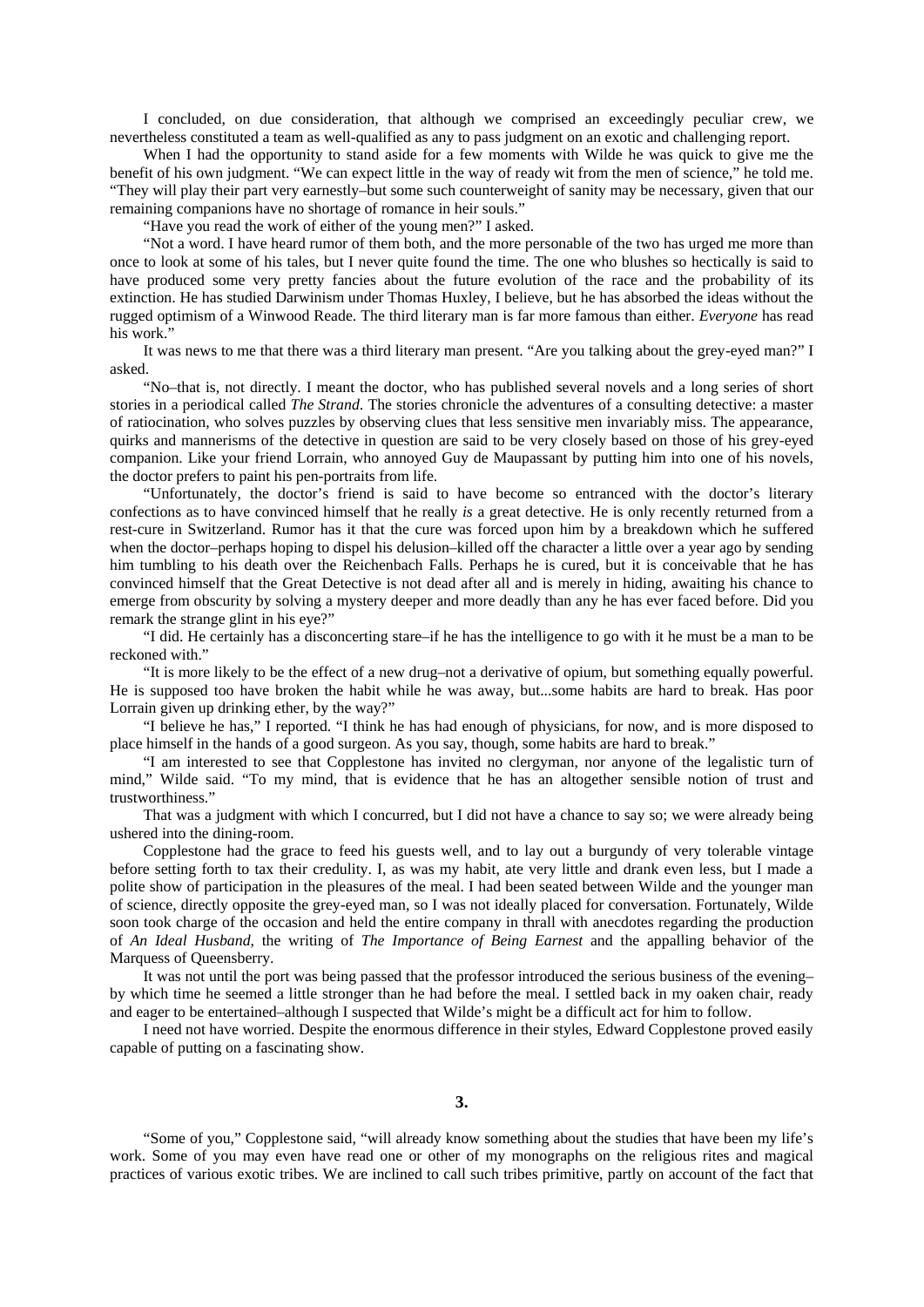I concluded, on due consideration, that although we comprised an exceedingly peculiar crew, we nevertheless constituted a team as well-qualified as any to pass judgment on an exotic and challenging report.

When I had the opportunity to stand aside for a few moments with Wilde he was quick to give me the benefit of his own judgment. "We can expect little in the way of ready wit from the men of science," he told me. "They will play their part very earnestly–but some such counterweight of sanity may be necessary, given that our remaining companions have no shortage of romance in heir souls."

"Have you read the work of either of the young men?" I asked.

"Not a word. I have heard rumor of them both, and the more personable of the two has urged me more than once to look at some of his tales, but I never quite found the time. The one who blushes so hectically is said to have produced some very pretty fancies about the future evolution of the race and the probability of its extinction. He has studied Darwinism under Thomas Huxley, I believe, but he has absorbed the ideas without the rugged optimism of a Winwood Reade. The third literary man is far more famous than either. *Everyone* has read his work."

It was news to me that there was a third literary man present. "Are you talking about the grey-eyed man?" I asked.

"No–that is, not directly. I meant the doctor, who has published several novels and a long series of short stories in a periodical called *The Strand*. The stories chronicle the adventures of a consulting detective: a master of ratiocination, who solves puzzles by observing clues that less sensitive men invariably miss. The appearance, quirks and mannerisms of the detective in question are said to be very closely based on those of his grey-eyed companion. Like your friend Lorrain, who annoyed Guy de Maupassant by putting him into one of his novels, the doctor prefers to paint his pen-portraits from life.

"Unfortunately, the doctor's friend is said to have become so entranced with the doctor's literary confections as to have convinced himself that he really *is* a great detective. He is only recently returned from a rest-cure in Switzerland. Rumor has it that the cure was forced upon him by a breakdown which he suffered when the doctor–perhaps hoping to dispel his delusion–killed off the character a little over a year ago by sending him tumbling to his death over the Reichenbach Falls. Perhaps he is cured, but it is conceivable that he has convinced himself that the Great Detective is not dead after all and is merely in hiding, awaiting his chance to emerge from obscurity by solving a mystery deeper and more deadly than any he has ever faced before. Did you remark the strange glint in his eye?"

"I did. He certainly has a disconcerting stare–if he has the intelligence to go with it he must be a man to be reckoned with."

"It is more likely to be the effect of a new drug–not a derivative of opium, but something equally powerful. He is supposed too have broken the habit while he was away, but...some habits are hard to break. Has poor Lorrain given up drinking ether, by the way?"

"I believe he has," I reported. "I think he has had enough of physicians, for now, and is more disposed to place himself in the hands of a good surgeon. As you say, though, some habits are hard to break."

"I am interested to see that Copplestone has invited no clergyman, nor anyone of the legalistic turn of mind," Wilde said. "To my mind, that is evidence that he has an altogether sensible notion of trust and trustworthiness."

That was a judgment with which I concurred, but I did not have a chance to say so; we were already being ushered into the dining-room.

Copplestone had the grace to feed his guests well, and to lay out a burgundy of very tolerable vintage before setting forth to tax their credulity. I, as was my habit, ate very little and drank even less, but I made a polite show of participation in the pleasures of the meal. I had been seated between Wilde and the younger man of science, directly opposite the grey-eyed man, so I was not ideally placed for conversation. Fortunately, Wilde soon took charge of the occasion and held the entire company in thrall with anecdotes regarding the production of *An Ideal Husband*, the writing of *The Importance of Being Earnest* and the appalling behavior of the Marquess of Queensberry.

It was not until the port was being passed that the professor introduced the serious business of the evening– by which time he seemed a little stronger than he had before the meal. I settled back in my oaken chair, ready and eager to be entertained–although I suspected that Wilde's might be a difficult act for him to follow.

I need not have worried. Despite the enormous difference in their styles, Edward Copplestone proved easily capable of putting on a fascinating show.

"Some of you," Copplestone said, "will already know something about the studies that have been my life's work. Some of you may even have read one or other of my monographs on the religious rites and magical practices of various exotic tribes. We are inclined to call such tribes primitive, partly on account of the fact that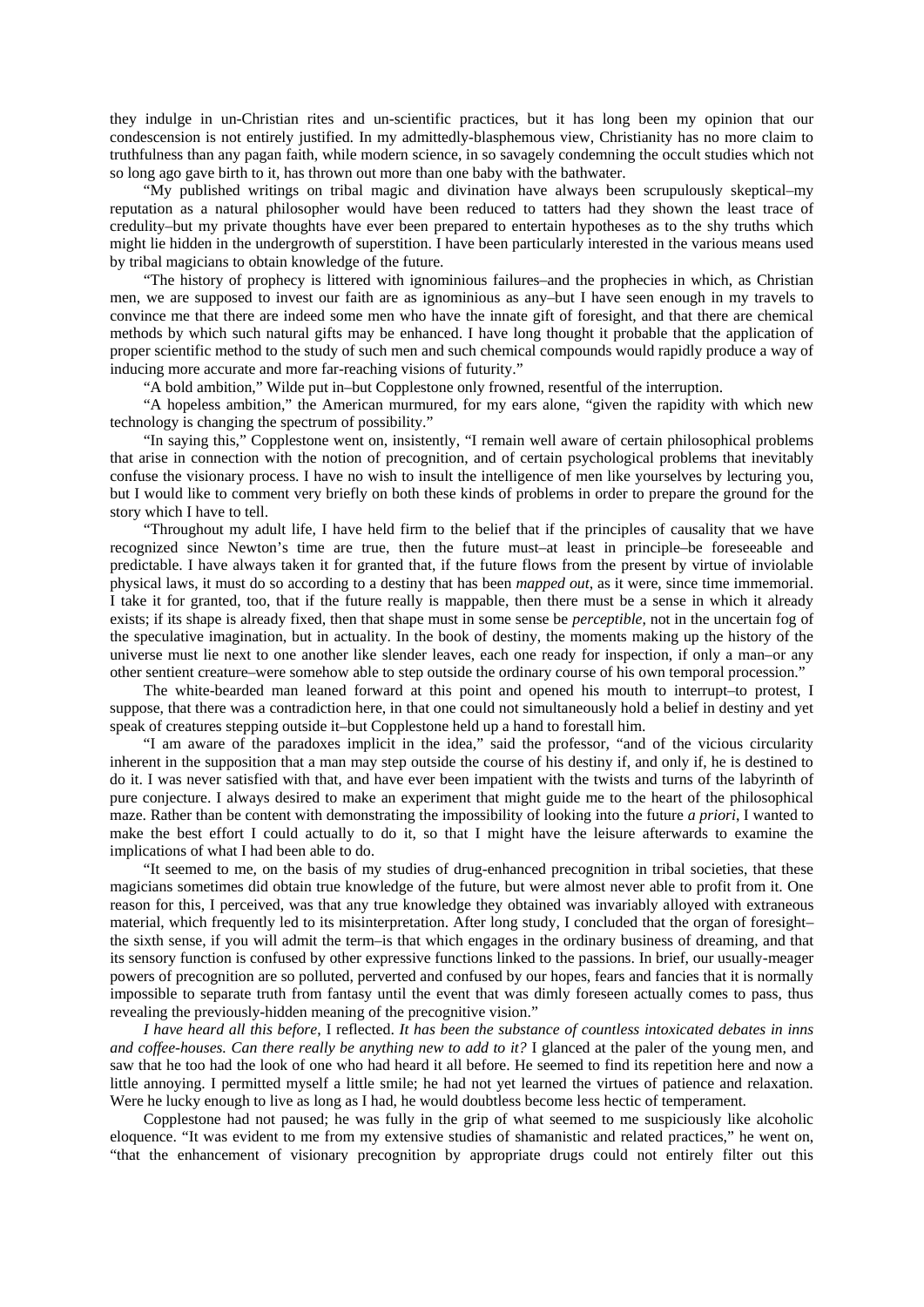they indulge in un-Christian rites and un-scientific practices, but it has long been my opinion that our condescension is not entirely justified. In my admittedly-blasphemous view, Christianity has no more claim to truthfulness than any pagan faith, while modern science, in so savagely condemning the occult studies which not so long ago gave birth to it, has thrown out more than one baby with the bathwater.

"My published writings on tribal magic and divination have always been scrupulously skeptical–my reputation as a natural philosopher would have been reduced to tatters had they shown the least trace of credulity–but my private thoughts have ever been prepared to entertain hypotheses as to the shy truths which might lie hidden in the undergrowth of superstition. I have been particularly interested in the various means used by tribal magicians to obtain knowledge of the future.

"The history of prophecy is littered with ignominious failures–and the prophecies in which, as Christian men, we are supposed to invest our faith are as ignominious as any–but I have seen enough in my travels to convince me that there are indeed some men who have the innate gift of foresight, and that there are chemical methods by which such natural gifts may be enhanced. I have long thought it probable that the application of proper scientific method to the study of such men and such chemical compounds would rapidly produce a way of inducing more accurate and more far-reaching visions of futurity."

"A bold ambition," Wilde put in–but Copplestone only frowned, resentful of the interruption.

"A hopeless ambition," the American murmured, for my ears alone, "given the rapidity with which new technology is changing the spectrum of possibility."

"In saying this," Copplestone went on, insistently, "I remain well aware of certain philosophical problems that arise in connection with the notion of precognition, and of certain psychological problems that inevitably confuse the visionary process. I have no wish to insult the intelligence of men like yourselves by lecturing you, but I would like to comment very briefly on both these kinds of problems in order to prepare the ground for the story which I have to tell.

"Throughout my adult life, I have held firm to the belief that if the principles of causality that we have recognized since Newton's time are true, then the future must–at least in principle–be foreseeable and predictable. I have always taken it for granted that, if the future flows from the present by virtue of inviolable physical laws, it must do so according to a destiny that has been *mapped out*, as it were, since time immemorial. I take it for granted, too, that if the future really is mappable, then there must be a sense in which it already exists; if its shape is already fixed, then that shape must in some sense be *perceptible*, not in the uncertain fog of the speculative imagination, but in actuality. In the book of destiny, the moments making up the history of the universe must lie next to one another like slender leaves, each one ready for inspection, if only a man–or any other sentient creature–were somehow able to step outside the ordinary course of his own temporal procession."

The white-bearded man leaned forward at this point and opened his mouth to interrupt–to protest, I suppose, that there was a contradiction here, in that one could not simultaneously hold a belief in destiny and yet speak of creatures stepping outside it–but Copplestone held up a hand to forestall him.

"I am aware of the paradoxes implicit in the idea," said the professor, "and of the vicious circularity inherent in the supposition that a man may step outside the course of his destiny if, and only if, he is destined to do it. I was never satisfied with that, and have ever been impatient with the twists and turns of the labyrinth of pure conjecture. I always desired to make an experiment that might guide me to the heart of the philosophical maze. Rather than be content with demonstrating the impossibility of looking into the future *a priori*, I wanted to make the best effort I could actually to do it, so that I might have the leisure afterwards to examine the implications of what I had been able to do.

"It seemed to me, on the basis of my studies of drug-enhanced precognition in tribal societies, that these magicians sometimes did obtain true knowledge of the future, but were almost never able to profit from it. One reason for this, I perceived, was that any true knowledge they obtained was invariably alloyed with extraneous material, which frequently led to its misinterpretation. After long study, I concluded that the organ of foresight– the sixth sense, if you will admit the term–is that which engages in the ordinary business of dreaming, and that its sensory function is confused by other expressive functions linked to the passions. In brief, our usually-meager powers of precognition are so polluted, perverted and confused by our hopes, fears and fancies that it is normally impossible to separate truth from fantasy until the event that was dimly foreseen actually comes to pass, thus revealing the previously-hidden meaning of the precognitive vision."

*I have heard all this before*, I reflected. *It has been the substance of countless intoxicated debates in inns and coffee-houses. Can there really be anything new to add to it?* I glanced at the paler of the young men, and saw that he too had the look of one who had heard it all before. He seemed to find its repetition here and now a little annoying. I permitted myself a little smile; he had not yet learned the virtues of patience and relaxation. Were he lucky enough to live as long as I had, he would doubtless become less hectic of temperament.

Copplestone had not paused; he was fully in the grip of what seemed to me suspiciously like alcoholic eloquence. "It was evident to me from my extensive studies of shamanistic and related practices," he went on, "that the enhancement of visionary precognition by appropriate drugs could not entirely filter out this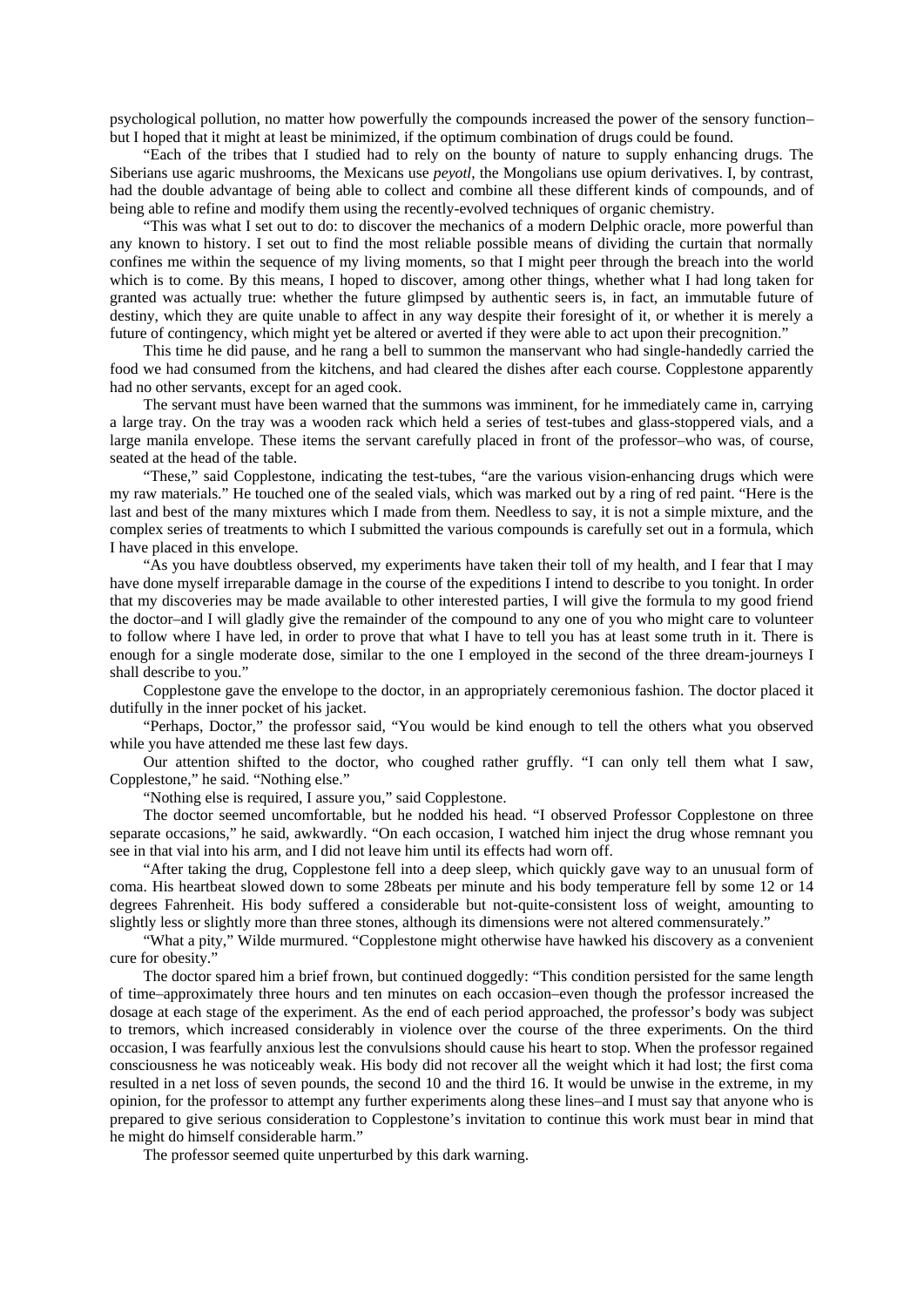psychological pollution, no matter how powerfully the compounds increased the power of the sensory function– but I hoped that it might at least be minimized, if the optimum combination of drugs could be found.

"Each of the tribes that I studied had to rely on the bounty of nature to supply enhancing drugs. The Siberians use agaric mushrooms, the Mexicans use *peyotl*, the Mongolians use opium derivatives. I, by contrast, had the double advantage of being able to collect and combine all these different kinds of compounds, and of being able to refine and modify them using the recently-evolved techniques of organic chemistry.

"This was what I set out to do: to discover the mechanics of a modern Delphic oracle, more powerful than any known to history. I set out to find the most reliable possible means of dividing the curtain that normally confines me within the sequence of my living moments, so that I might peer through the breach into the world which is to come. By this means, I hoped to discover, among other things, whether what I had long taken for granted was actually true: whether the future glimpsed by authentic seers is, in fact, an immutable future of destiny, which they are quite unable to affect in any way despite their foresight of it, or whether it is merely a future of contingency, which might yet be altered or averted if they were able to act upon their precognition."

This time he did pause, and he rang a bell to summon the manservant who had single-handedly carried the food we had consumed from the kitchens, and had cleared the dishes after each course. Copplestone apparently had no other servants, except for an aged cook.

The servant must have been warned that the summons was imminent, for he immediately came in, carrying a large tray. On the tray was a wooden rack which held a series of test-tubes and glass-stoppered vials, and a large manila envelope. These items the servant carefully placed in front of the professor–who was, of course, seated at the head of the table.

"These," said Copplestone, indicating the test-tubes, "are the various vision-enhancing drugs which were my raw materials." He touched one of the sealed vials, which was marked out by a ring of red paint. "Here is the last and best of the many mixtures which I made from them. Needless to say, it is not a simple mixture, and the complex series of treatments to which I submitted the various compounds is carefully set out in a formula, which I have placed in this envelope.

"As you have doubtless observed, my experiments have taken their toll of my health, and I fear that I may have done myself irreparable damage in the course of the expeditions I intend to describe to you tonight. In order that my discoveries may be made available to other interested parties, I will give the formula to my good friend the doctor–and I will gladly give the remainder of the compound to any one of you who might care to volunteer to follow where I have led, in order to prove that what I have to tell you has at least some truth in it. There is enough for a single moderate dose, similar to the one I employed in the second of the three dream-journeys I shall describe to you."

Copplestone gave the envelope to the doctor, in an appropriately ceremonious fashion. The doctor placed it dutifully in the inner pocket of his jacket.

"Perhaps, Doctor," the professor said, "You would be kind enough to tell the others what you observed while you have attended me these last few days.

Our attention shifted to the doctor, who coughed rather gruffly. "I can only tell them what I saw, Copplestone," he said. "Nothing else."

"Nothing else is required, I assure you," said Copplestone.

The doctor seemed uncomfortable, but he nodded his head. "I observed Professor Copplestone on three separate occasions," he said, awkwardly. "On each occasion, I watched him inject the drug whose remnant you see in that vial into his arm, and I did not leave him until its effects had worn off.

"After taking the drug, Copplestone fell into a deep sleep, which quickly gave way to an unusual form of coma. His heartbeat slowed down to some 28beats per minute and his body temperature fell by some 12 or 14 degrees Fahrenheit. His body suffered a considerable but not-quite-consistent loss of weight, amounting to slightly less or slightly more than three stones, although its dimensions were not altered commensurately."

"What a pity," Wilde murmured. "Copplestone might otherwise have hawked his discovery as a convenient cure for obesity."

The doctor spared him a brief frown, but continued doggedly: "This condition persisted for the same length of time–approximately three hours and ten minutes on each occasion–even though the professor increased the dosage at each stage of the experiment. As the end of each period approached, the professor's body was subject to tremors, which increased considerably in violence over the course of the three experiments. On the third occasion, I was fearfully anxious lest the convulsions should cause his heart to stop. When the professor regained consciousness he was noticeably weak. His body did not recover all the weight which it had lost; the first coma resulted in a net loss of seven pounds, the second 10 and the third 16. It would be unwise in the extreme, in my opinion, for the professor to attempt any further experiments along these lines–and I must say that anyone who is prepared to give serious consideration to Copplestone's invitation to continue this work must bear in mind that he might do himself considerable harm."

The professor seemed quite unperturbed by this dark warning.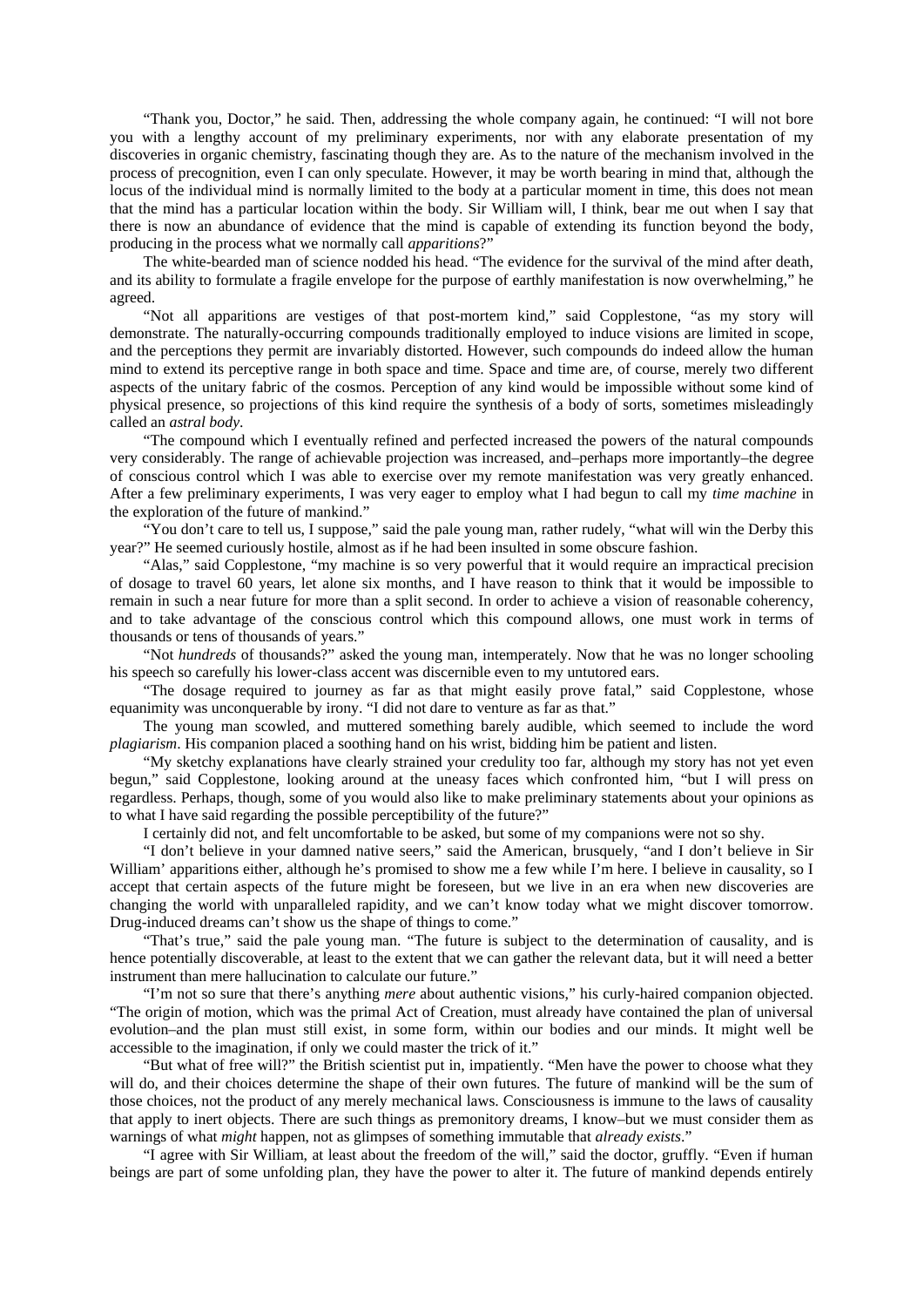"Thank you, Doctor," he said. Then, addressing the whole company again, he continued: "I will not bore you with a lengthy account of my preliminary experiments, nor with any elaborate presentation of my discoveries in organic chemistry, fascinating though they are. As to the nature of the mechanism involved in the process of precognition, even I can only speculate. However, it may be worth bearing in mind that, although the locus of the individual mind is normally limited to the body at a particular moment in time, this does not mean that the mind has a particular location within the body. Sir William will, I think, bear me out when I say that there is now an abundance of evidence that the mind is capable of extending its function beyond the body, producing in the process what we normally call *apparitions*?"

The white-bearded man of science nodded his head. "The evidence for the survival of the mind after death, and its ability to formulate a fragile envelope for the purpose of earthly manifestation is now overwhelming," he agreed.

"Not all apparitions are vestiges of that post-mortem kind," said Copplestone, "as my story will demonstrate. The naturally-occurring compounds traditionally employed to induce visions are limited in scope, and the perceptions they permit are invariably distorted. However, such compounds do indeed allow the human mind to extend its perceptive range in both space and time. Space and time are, of course, merely two different aspects of the unitary fabric of the cosmos. Perception of any kind would be impossible without some kind of physical presence, so projections of this kind require the synthesis of a body of sorts, sometimes misleadingly called an *astral body*.

"The compound which I eventually refined and perfected increased the powers of the natural compounds very considerably. The range of achievable projection was increased, and–perhaps more importantly–the degree of conscious control which I was able to exercise over my remote manifestation was very greatly enhanced. After a few preliminary experiments, I was very eager to employ what I had begun to call my *time machine* in the exploration of the future of mankind."

"You don't care to tell us, I suppose," said the pale young man, rather rudely, "what will win the Derby this year?" He seemed curiously hostile, almost as if he had been insulted in some obscure fashion.

"Alas," said Copplestone, "my machine is so very powerful that it would require an impractical precision of dosage to travel 60 years, let alone six months, and I have reason to think that it would be impossible to remain in such a near future for more than a split second. In order to achieve a vision of reasonable coherency, and to take advantage of the conscious control which this compound allows, one must work in terms of thousands or tens of thousands of years."

"Not *hundreds* of thousands?" asked the young man, intemperately. Now that he was no longer schooling his speech so carefully his lower-class accent was discernible even to my untutored ears.

"The dosage required to journey as far as that might easily prove fatal," said Copplestone, whose equanimity was unconquerable by irony. "I did not dare to venture as far as that."

The young man scowled, and muttered something barely audible, which seemed to include the word *plagiarism*. His companion placed a soothing hand on his wrist, bidding him be patient and listen.

"My sketchy explanations have clearly strained your credulity too far, although my story has not yet even begun," said Copplestone, looking around at the uneasy faces which confronted him, "but I will press on regardless. Perhaps, though, some of you would also like to make preliminary statements about your opinions as to what I have said regarding the possible perceptibility of the future?"

I certainly did not, and felt uncomfortable to be asked, but some of my companions were not so shy.

"I don't believe in your damned native seers," said the American, brusquely, "and I don't believe in Sir William' apparitions either, although he's promised to show me a few while I'm here. I believe in causality, so I accept that certain aspects of the future might be foreseen, but we live in an era when new discoveries are changing the world with unparalleled rapidity, and we can't know today what we might discover tomorrow. Drug-induced dreams can't show us the shape of things to come."

"That's true," said the pale young man. "The future is subject to the determination of causality, and is hence potentially discoverable, at least to the extent that we can gather the relevant data, but it will need a better instrument than mere hallucination to calculate our future."

"I'm not so sure that there's anything *mere* about authentic visions," his curly-haired companion objected. "The origin of motion, which was the primal Act of Creation, must already have contained the plan of universal evolution–and the plan must still exist, in some form, within our bodies and our minds. It might well be accessible to the imagination, if only we could master the trick of it."

"But what of free will?" the British scientist put in, impatiently. "Men have the power to choose what they will do, and their choices determine the shape of their own futures. The future of mankind will be the sum of those choices, not the product of any merely mechanical laws. Consciousness is immune to the laws of causality that apply to inert objects. There are such things as premonitory dreams, I know–but we must consider them as warnings of what *might* happen, not as glimpses of something immutable that *already exists*."

"I agree with Sir William, at least about the freedom of the will," said the doctor, gruffly. "Even if human beings are part of some unfolding plan, they have the power to alter it. The future of mankind depends entirely